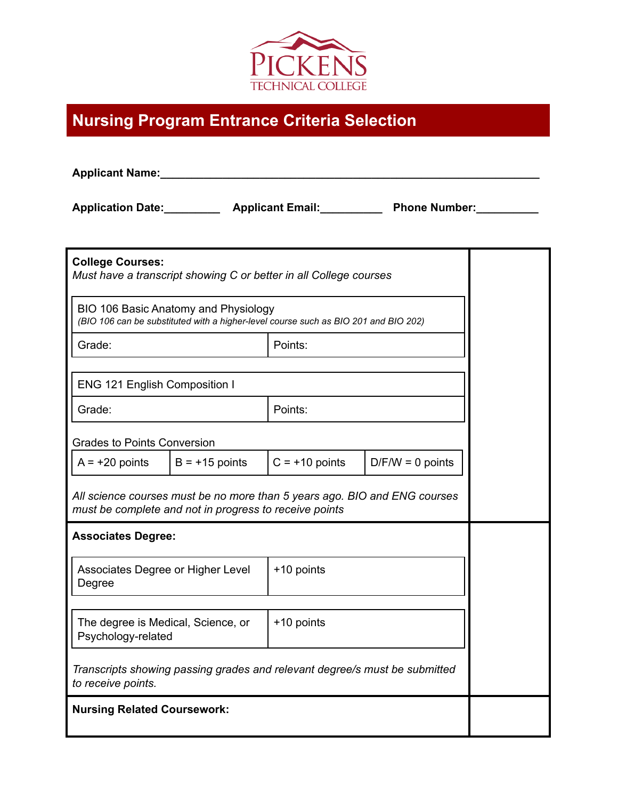

## **Nursing Program Entrance Criteria Selection**

| <b>Applicant Name:</b>                                                                                                              |                  |                  |                                                                                      |  |  |  |
|-------------------------------------------------------------------------------------------------------------------------------------|------------------|------------------|--------------------------------------------------------------------------------------|--|--|--|
|                                                                                                                                     |                  |                  | Application Date: _____________ Applicant Email: _____________ Phone Number: _______ |  |  |  |
| <b>College Courses:</b><br>Must have a transcript showing C or better in all College courses                                        |                  |                  |                                                                                      |  |  |  |
| BIO 106 Basic Anatomy and Physiology<br>(BIO 106 can be substituted with a higher-level course such as BIO 201 and BIO 202)         |                  |                  |                                                                                      |  |  |  |
| Grade:                                                                                                                              |                  | Points:          |                                                                                      |  |  |  |
| <b>ENG 121 English Composition I</b>                                                                                                |                  |                  |                                                                                      |  |  |  |
| Grade:                                                                                                                              |                  | Points:          |                                                                                      |  |  |  |
| <b>Grades to Points Conversion</b>                                                                                                  |                  |                  |                                                                                      |  |  |  |
| $A = +20$ points                                                                                                                    | $B = +15$ points | $C = +10$ points | $D/F/W = 0$ points                                                                   |  |  |  |
| All science courses must be no more than 5 years ago. BIO and ENG courses<br>must be complete and not in progress to receive points |                  |                  |                                                                                      |  |  |  |
| <b>Associates Degree:</b>                                                                                                           |                  |                  |                                                                                      |  |  |  |
| Associates Degree or Higher Level<br>Degree                                                                                         |                  | +10 points       |                                                                                      |  |  |  |
| The degree is Medical, Science, or<br>Psychology-related                                                                            |                  | +10 points       |                                                                                      |  |  |  |
| Transcripts showing passing grades and relevant degree/s must be submitted<br>to receive points.                                    |                  |                  |                                                                                      |  |  |  |
| <b>Nursing Related Coursework:</b>                                                                                                  |                  |                  |                                                                                      |  |  |  |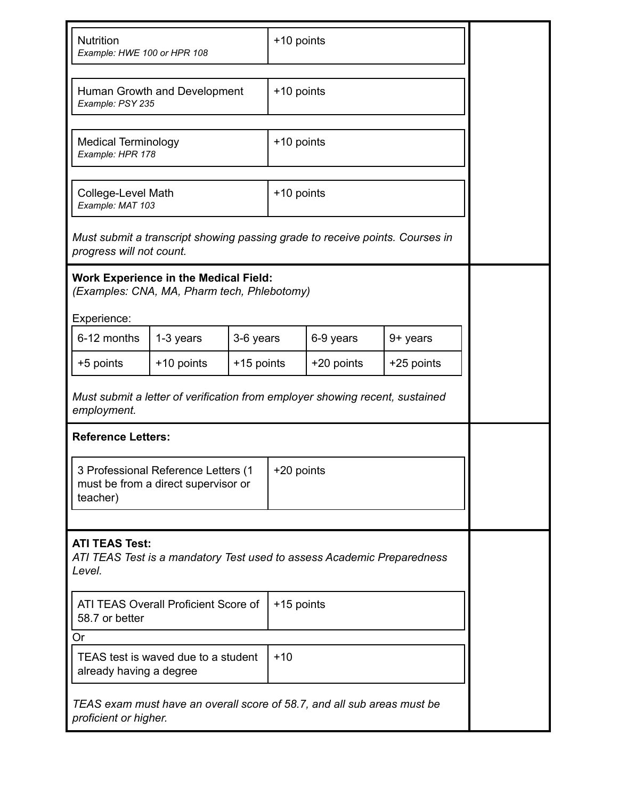| <b>Nutrition</b><br>Example: HWE 100 or HPR 108                                                           |            |            | +10 points |            |            |  |
|-----------------------------------------------------------------------------------------------------------|------------|------------|------------|------------|------------|--|
| Human Growth and Development<br>Example: PSY 235                                                          |            |            | +10 points |            |            |  |
| <b>Medical Terminology</b><br>Example: HPR 178                                                            |            |            | +10 points |            |            |  |
| College-Level Math<br>Example: MAT 103                                                                    |            | +10 points |            |            |            |  |
| Must submit a transcript showing passing grade to receive points. Courses in<br>progress will not count.  |            |            |            |            |            |  |
| <b>Work Experience in the Medical Field:</b><br>(Examples: CNA, MA, Pharm tech, Phlebotomy)               |            |            |            |            |            |  |
| Experience:<br>6-12 months                                                                                | 1-3 years  | 3-6 years  |            | 6-9 years  | 9+ years   |  |
| +5 points                                                                                                 | +10 points | +15 points |            | +20 points | +25 points |  |
| Must submit a letter of verification from employer showing recent, sustained<br>employment.               |            |            |            |            |            |  |
| <b>Reference Letters:</b>                                                                                 |            |            |            |            |            |  |
| 3 Professional Reference Letters (1<br>must be from a direct supervisor or<br>teacher)                    |            |            | +20 points |            |            |  |
|                                                                                                           |            |            |            |            |            |  |
| <b>ATI TEAS Test:</b><br>ATI TEAS Test is a mandatory Test used to assess Academic Preparedness<br>Level. |            |            |            |            |            |  |
| ATI TEAS Overall Proficient Score of<br>58.7 or better                                                    |            |            | +15 points |            |            |  |
| Or                                                                                                        |            |            |            |            |            |  |
| $+10$<br>TEAS test is waved due to a student<br>already having a degree                                   |            |            |            |            |            |  |
| TEAS exam must have an overall score of 58.7, and all sub areas must be<br>proficient or higher.          |            |            |            |            |            |  |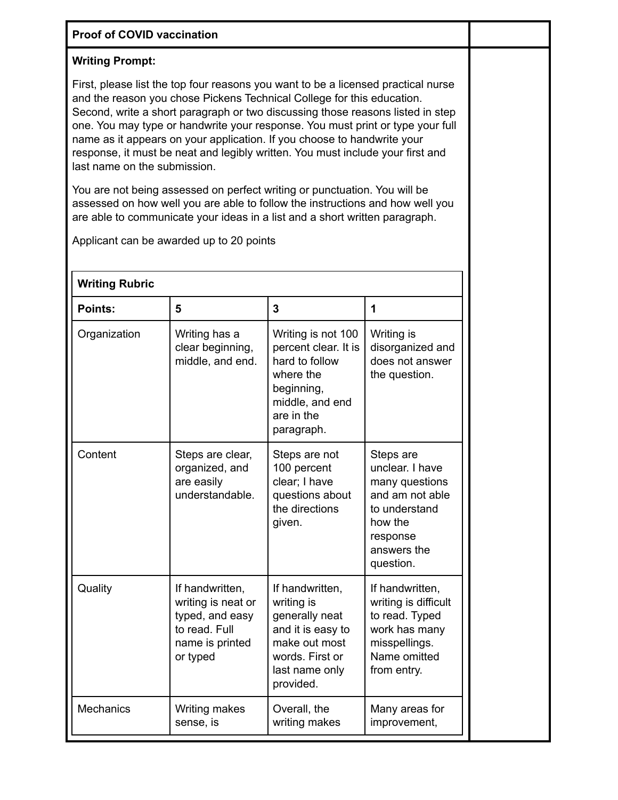| <b>Proof of COVID vaccination</b>                                                                                                                                                                                                                                                                                                                                                                                                                                                                                            |                                                                                                          |                                                                                                                                         |                                                                                                                                       |  |  |  |
|------------------------------------------------------------------------------------------------------------------------------------------------------------------------------------------------------------------------------------------------------------------------------------------------------------------------------------------------------------------------------------------------------------------------------------------------------------------------------------------------------------------------------|----------------------------------------------------------------------------------------------------------|-----------------------------------------------------------------------------------------------------------------------------------------|---------------------------------------------------------------------------------------------------------------------------------------|--|--|--|
| <b>Writing Prompt:</b>                                                                                                                                                                                                                                                                                                                                                                                                                                                                                                       |                                                                                                          |                                                                                                                                         |                                                                                                                                       |  |  |  |
| First, please list the top four reasons you want to be a licensed practical nurse<br>and the reason you chose Pickens Technical College for this education.<br>Second, write a short paragraph or two discussing those reasons listed in step<br>one. You may type or handwrite your response. You must print or type your full<br>name as it appears on your application. If you choose to handwrite your<br>response, it must be neat and legibly written. You must include your first and<br>last name on the submission. |                                                                                                          |                                                                                                                                         |                                                                                                                                       |  |  |  |
| You are not being assessed on perfect writing or punctuation. You will be<br>assessed on how well you are able to follow the instructions and how well you<br>are able to communicate your ideas in a list and a short written paragraph.<br>Applicant can be awarded up to 20 points                                                                                                                                                                                                                                        |                                                                                                          |                                                                                                                                         |                                                                                                                                       |  |  |  |
| <b>Writing Rubric</b>                                                                                                                                                                                                                                                                                                                                                                                                                                                                                                        |                                                                                                          |                                                                                                                                         |                                                                                                                                       |  |  |  |
| <b>Points:</b>                                                                                                                                                                                                                                                                                                                                                                                                                                                                                                               | 5                                                                                                        | $\overline{3}$                                                                                                                          | 1                                                                                                                                     |  |  |  |
| Organization                                                                                                                                                                                                                                                                                                                                                                                                                                                                                                                 | Writing has a<br>clear beginning,<br>middle, and end.                                                    | Writing is not 100<br>percent clear. It is<br>hard to follow<br>where the<br>beginning,<br>middle, and end<br>are in the<br>paragraph.  | Writing is<br>disorganized and<br>does not answer<br>the question.                                                                    |  |  |  |
| Content                                                                                                                                                                                                                                                                                                                                                                                                                                                                                                                      | Steps are clear,<br>organized, and<br>are easily<br>understandable.                                      | Steps are not<br>100 percent<br>clear; I have<br>questions about<br>the directions<br>given.                                            | Steps are<br>unclear. I have<br>many questions<br>and am not able<br>to understand<br>how the<br>response<br>answers the<br>question. |  |  |  |
| Quality                                                                                                                                                                                                                                                                                                                                                                                                                                                                                                                      | If handwritten,<br>writing is neat or<br>typed, and easy<br>to read. Full<br>name is printed<br>or typed | If handwritten,<br>writing is<br>generally neat<br>and it is easy to<br>make out most<br>words. First or<br>last name only<br>provided. | If handwritten,<br>writing is difficult<br>to read. Typed<br>work has many<br>misspellings.<br>Name omitted<br>from entry.            |  |  |  |
| Mechanics                                                                                                                                                                                                                                                                                                                                                                                                                                                                                                                    | Writing makes<br>sense, is                                                                               | Overall, the<br>writing makes                                                                                                           | Many areas for<br>improvement,                                                                                                        |  |  |  |